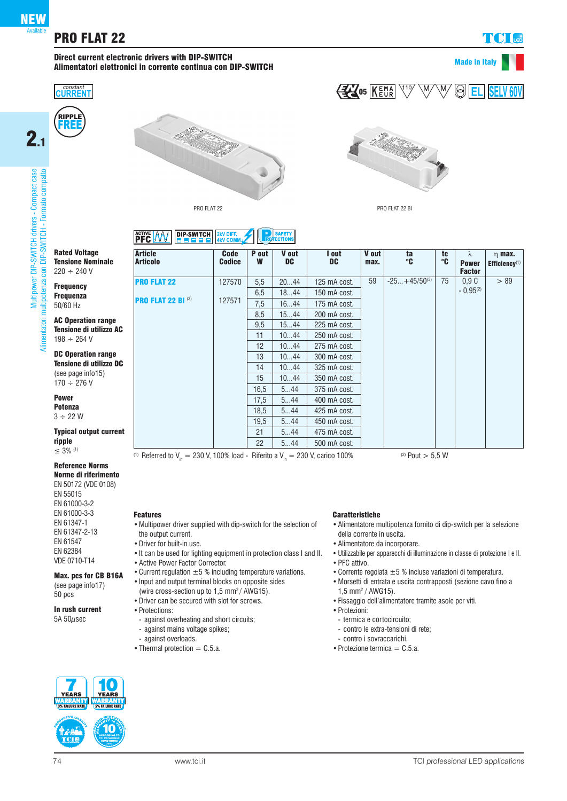Multipower DIP-SWITCH drivers - Compact case

power DIP-SWITCH drivers - Compact case multipotenza con DIP-SWITCH - Formato compatto

 $2.1$ 

Alimentatori multipotenza con DIP-SWITCH - Formato compatto

mentatori

EN 55015 EN 61000-3-2 EN 61000-3-3 EN 61347-1 EN 61347-2-13 EN 61547 EN 62384 VDE 0710-T14

Reference Norms Norme di riferimento EN 50172 (VDE 0108)

## Direct current electronic drivers with DIP-SWITCH<br>
and the current electronic drivers with DIP-SWITCH<br>
and the current electronic drivers with DIP-SWITCH<br>
and the current electronic drivers with DIP-SWITCH Alimentatori elettronici in corrente continua con DIP-SWITCH







## **EM**OS KEMA  $\nabla^{19}$  $\overline{\mathbb{W}}$  $\overline{\mathsf{M}_{2}}$  $\textcircled{\textsf{R}}$



PRO FLAT 22 BI

## **ACTIVE AAV DIP-SWITCH 2KV DIFF.** SAFETY

| <b>Rated Voltage</b><br><b>Tensione Nominale</b>                                | <b>Article</b><br><b>Articolo</b> | <b>Code</b><br><b>Codice</b> | P out<br>W | V out<br><b>DC</b> | I out<br><b>DC</b> | V out<br>max. | ta<br>°C          | tc<br>°C | λ<br><b>Power</b> | $n$ max.<br>Efficiency $(1)$ |
|---------------------------------------------------------------------------------|-----------------------------------|------------------------------|------------|--------------------|--------------------|---------------|-------------------|----------|-------------------|------------------------------|
| $220 \div 240 \text{ V}$                                                        |                                   |                              |            |                    |                    |               |                   |          | <b>Factor</b>     |                              |
| <b>Frequency</b>                                                                | <b>PRO FLAT 22</b>                | 127570                       | 5,5        | 2044               | 125 mA cost.       | 59            | $-25+45/50^{(3)}$ | 75       | 0.9C              | > 89                         |
| <b>Frequenza</b>                                                                |                                   |                              | 6,5        | 1844               | 150 mA cost.       |               |                   |          | $-0.95^{(2)}$     |                              |
| 50/60 Hz                                                                        | <b>PRO FLAT 22 BI (3)</b>         | 127571                       | 7,5        | 1644               | 175 mA cost.       |               |                   |          |                   |                              |
|                                                                                 |                                   |                              | 8,5        | 1544               | 200 mA cost.       |               |                   |          |                   |                              |
| <b>AC Operation range</b>                                                       |                                   |                              | 9,5        | 1544               | 225 mA cost.       |               |                   |          |                   |                              |
| <b>Tensione di utilizzo AC</b><br>$198 \div 264$ V<br><b>DC Operation range</b> |                                   |                              | 11         | 1044               | 250 mA cost.       |               |                   |          |                   |                              |
|                                                                                 |                                   |                              | 12         | 1044               | 275 mA cost.       |               |                   |          |                   |                              |
|                                                                                 |                                   |                              | 13         | 1044               | 300 mA cost.       |               |                   |          |                   |                              |
| <b>Tensione di utilizzo DC</b>                                                  |                                   |                              | 14         | 1044               | 325 mA cost.       |               |                   |          |                   |                              |
| (see page info15)<br>$170 \div 276$ V                                           |                                   |                              | 15         | 1044               | 350 mA cost.       |               |                   |          |                   |                              |
|                                                                                 |                                   |                              | 16,5       | 544                | 375 mA cost.       |               |                   |          |                   |                              |
| <b>Power</b>                                                                    |                                   |                              | 17,5       | 544                | 400 mA cost.       |               |                   |          |                   |                              |
| <b>Potenza</b>                                                                  |                                   |                              | 18,5       | 544                | 425 mA cost.       |               |                   |          |                   |                              |
| $3 \div 22W$                                                                    |                                   |                              | 19,5       | 544                | 450 mA cost.       |               |                   |          |                   |                              |
| <b>Typical output current</b>                                                   |                                   |                              | 21         | 544                | 475 mA cost.       |               |                   |          |                   |                              |
| ripple<br>$\leq$ 3% <sup>(1)</sup>                                              |                                   |                              | 22         | 544                | 500 mA cost.       |               |                   |          |                   |                              |

(1) Referred to  $V_{in} = 230$  V, 100% load - Riferito a  $V_{in} = 230$  V, carico 100% (2) Pout  $> 5.5$  W

## Features

- •Multipower driver supplied with dip-switch for the selection of the output current.
- •Driver for built-in use.
- •It can be used for lighting equipment in protection class I and II.
- •Active Power Factor Corrector. • Current regulation  $\pm 5$  % including temperature variations.
- •Input and output terminal blocks on opposite sides
- (wire cross-section up to 1,5 mm2 / AWG15).
- •Driver can be secured with slot for screws.
- •Protections:
- against overheating and short circuits;
- against mains voltage spikes;
- against overloads.
- Thermal protection  $=$  C.5.a.

## **r YEARS** YEARS NARKANT<br>I 5% FAILURE RATI ANCESANT<br>« Eali HDE DATI 10

Max. pcs for CB B16A (see page info17) 50 pcs

In rush current 5A  $50\mu$ sec



## Caratteristiche

- •Alimentatore multipotenza fornito di dip-switch per la selezione della corrente in uscita.
- •Alimentatore da incorporare.
- Utilizzabile per apparecchi di illuminazione in classe di protezione I e II.
- PFC attivo.
- Corrente regolata  $\pm 5$  % incluse variazioni di temperatura.
- •Morsetti di entrata e uscita contrapposti (sezione cavo fino a  $1,5$  mm<sup>2</sup> / AWG15).
- •Fissaggio dell'alimentatore tramite asole per viti.
- •Protezioni:
- termica e cortocircuito;
- contro le extra-tensioni di rete;
- contro i sovraccarichi.
- Protezione termica  $=$  C.5.a.